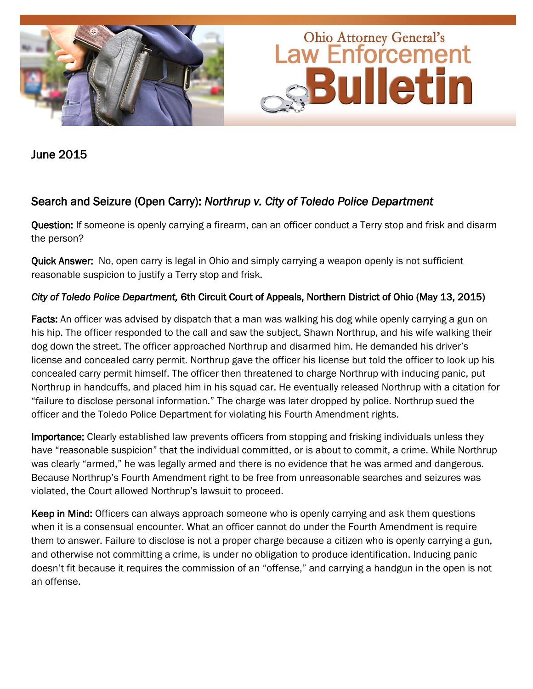

June 2015

### Search and Seizure (Open Carry): *Northrup v. City of Toledo Police Department*

Question: If someone is openly carrying a firearm, can an officer conduct a Terry stop and frisk and disarm the person?

Quick Answer: No, open carry is legal in Ohio and simply carrying a weapon openly is not sufficient reasonable suspicion to justify a Terry stop and frisk.

#### *City of Toledo Police Department,* 6th Circuit Court of Appeals, Northern District of Ohio (May 13, 2015)

Facts: An officer was advised by dispatch that a man was walking his dog while openly carrying a gun on his hip. The officer responded to the call and saw the subject, Shawn Northrup, and his wife walking their dog down the street. The officer approached Northrup and disarmed him. He demanded his driver's license and concealed carry permit. Northrup gave the officer his license but told the officer to look up his concealed carry permit himself. The officer then threatened to charge Northrup with inducing panic, put Northrup in handcuffs, and placed him in his squad car. He eventually released Northrup with a citation for "failure to disclose personal information." The charge was later dropped by police. Northrup sued the officer and the Toledo Police Department for violating his Fourth Amendment rights.

Importance: Clearly established law prevents officers from stopping and frisking individuals unless they have "reasonable suspicion" that the individual committed, or is about to commit, a crime. While Northrup was clearly "armed," he was legally armed and there is no evidence that he was armed and dangerous. Because Northrup's Fourth Amendment right to be free from unreasonable searches and seizures was violated, the Court allowed Northrup's lawsuit to proceed.

Keep in Mind: Officers can always approach someone who is openly carrying and ask them questions when it is a consensual encounter. What an officer cannot do under the Fourth Amendment is require them to answer. Failure to disclose is not a proper charge because a citizen who is openly carrying a gun, and otherwise not committing a crime, is under no obligation to produce identification. Inducing panic doesn't fit because it requires the commission of an "offense," and carrying a handgun in the open is not an offense.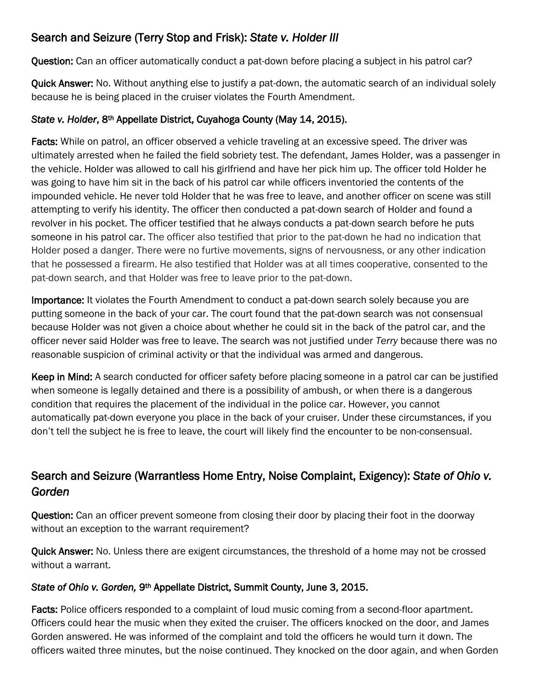## Search and Seizure (Terry Stop and Frisk): *State v. Holder III*

Question: Can an officer automatically conduct a pat-down before placing a subject in his patrol car?

Quick Answer: No. Without anything else to justify a pat-down, the automatic search of an individual solely because he is being placed in the cruiser violates the Fourth Amendment.

#### *State v. Holder*, 8th Appellate District, Cuyahoga County (May 14, 2015).

Facts: While on patrol, an officer observed a vehicle traveling at an excessive speed. The driver was ultimately arrested when he failed the field sobriety test. The defendant, James Holder, was a passenger in the vehicle. Holder was allowed to call his girlfriend and have her pick him up. The officer told Holder he was going to have him sit in the back of his patrol car while officers inventoried the contents of the impounded vehicle. He never told Holder that he was free to leave, and another officer on scene was still attempting to verify his identity. The officer then conducted a pat-down search of Holder and found a revolver in his pocket. The officer testified that he always conducts a pat-down search before he puts someone in his patrol car. The officer also testified that prior to the pat-down he had no indication that Holder posed a danger. There were no furtive movements, signs of nervousness, or any other indication that he possessed a firearm. He also testified that Holder was at all times cooperative, consented to the pat-down search, and that Holder was free to leave prior to the pat-down.

Importance: It violates the Fourth Amendment to conduct a pat-down search solely because you are putting someone in the back of your car. The court found that the pat-down search was not consensual because Holder was not given a choice about whether he could sit in the back of the patrol car, and the officer never said Holder was free to leave. The search was not justified under *Terry* because there was no reasonable suspicion of criminal activity or that the individual was armed and dangerous.

Keep in Mind: A search conducted for officer safety before placing someone in a patrol car can be justified when someone is legally detained and there is a possibility of ambush, or when there is a dangerous condition that requires the placement of the individual in the police car. However, you cannot automatically pat-down everyone you place in the back of your cruiser. Under these circumstances, if you don't tell the subject he is free to leave, the court will likely find the encounter to be non-consensual.

# Search and Seizure (Warrantless Home Entry, Noise Complaint, Exigency): *State of Ohio v. Gorden*

Question: Can an officer prevent someone from closing their door by placing their foot in the doorway without an exception to the warrant requirement?

Quick Answer: No. Unless there are exigent circumstances, the threshold of a home may not be crossed without a warrant.

#### *State of Ohio v. Gorden,* 9th Appellate District, Summit County, June 3, 2015.

Facts: Police officers responded to a complaint of loud music coming from a second-floor apartment. Officers could hear the music when they exited the cruiser. The officers knocked on the door, and James Gorden answered. He was informed of the complaint and told the officers he would turn it down. The officers waited three minutes, but the noise continued. They knocked on the door again, and when Gorden